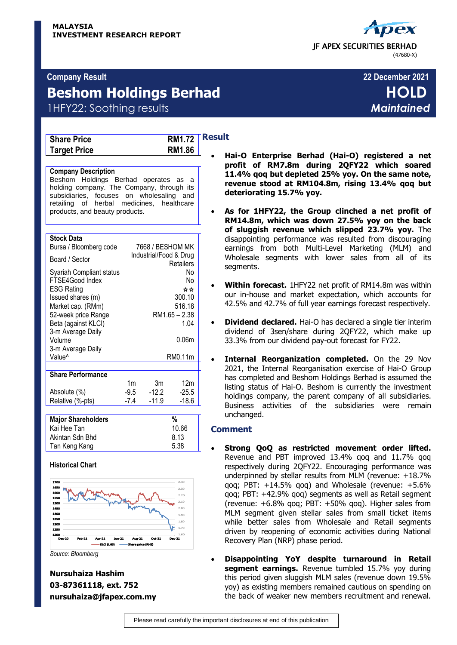

## **Company Result 22 December 2021**

# **Beshom Holdings Berhad HOLD** 1HFY22: Soothing results *Maintained*

| <b>Share Price</b>  | <b>RM1.72</b> |
|---------------------|---------------|
| <b>Target Price</b> | <b>RM1.86</b> |

| я<br>ĸ |  |
|--------|--|

T

## **Company Description**

Beshom Holdings Berhad operates as a holding company. The Company, through its subsidiaries, focuses on wholesaling and retailing of herbal medicines, healthcare products, and beauty products.

| שיש טישיי<br>Bursa / Bloomberg code                                                                                                                                                     |                | 7668 / BESHOM MK       |                                                                                  |
|-----------------------------------------------------------------------------------------------------------------------------------------------------------------------------------------|----------------|------------------------|----------------------------------------------------------------------------------|
| Board / Sector                                                                                                                                                                          |                | Industrial/Food & Drug | Retailers                                                                        |
| Syariah Compliant status<br>FTSE4Good Index<br><b>ESG Rating</b><br>Issued shares (m)<br>Market cap. (RMm)<br>52-week price Range<br>Beta (against KLCI)<br>3-m Average Daily<br>Volume |                |                        | No<br>No<br>☆☆<br>300.10<br>516.18<br>RM1.65 - 2.38<br>1.04<br>0.06 <sub>m</sub> |
| 3-m Average Daily                                                                                                                                                                       |                |                        |                                                                                  |
| Value <sup>^</sup>                                                                                                                                                                      |                |                        | RM0.11m                                                                          |
|                                                                                                                                                                                         |                |                        |                                                                                  |
| <b>Share Performance</b>                                                                                                                                                                | 1 <sub>m</sub> | 3m                     | 12 <sub>m</sub>                                                                  |
| Absolute (%)                                                                                                                                                                            | -9.5           | $-12.2$                | $-25.5$                                                                          |
| Relative (%-pts)                                                                                                                                                                        | -7.4           | $-11.9$                | $-18.6$                                                                          |
|                                                                                                                                                                                         |                |                        |                                                                                  |
| <b>Major Shareholders</b>                                                                                                                                                               |                |                        | %                                                                                |
| Kai Hee Tan                                                                                                                                                                             |                |                        | 10.66                                                                            |

| Akintan Sdn Bhd | 8.13 |
|-----------------|------|
| Tan Keng Kang   | 5.38 |
|                 |      |

### **Historical Chart**



*Source: Bloomberg*

**Nursuhaiza Hashim 03-87361118, ext. 752 nursuhaiza@jfapex.com.my**

# **Result**

- **Hai-O Enterprise Berhad (Hai-O) registered a net profit of RM7.8m during 2QFY22 which soared 11.4% qoq but depleted 25% yoy. On the same note, revenue stood at RM104.8m, rising 13.4% qoq but deteriorating 15.7% yoy.**
- **As for 1HFY22, the Group clinched a net profit of RM14.8m, which was down 27.5% yoy on the back of sluggish revenue which slipped 23.7% yoy.** The disappointing performance was resulted from discouraging earnings from both Multi-Level Marketing (MLM) and Wholesale segments with lower sales from all of its segments.
- **Within forecast.** 1HFY22 net profit of RM14.8m was within our in-house and market expectation, which accounts for 42.5% and 42.7% of full year earnings forecast respectively.
- **Dividend declared.** Hai-O has declared a single tier interim dividend of 3sen/share during 2QFY22, which make up 33.3% from our dividend pay-out forecast for FY22.
- **Internal Reorganization completed.** On the 29 Nov 2021, the Internal Reorganisation exercise of Hai-O Group has completed and Beshom Holdings Berhad is assumed the listing status of Hai-O. Beshom is currently the investment holdings company, the parent company of all subsidiaries. Business activities of the subsidiaries were remain unchanged.

### **Comment**

- **Strong QoQ as restricted movement order lifted.**  Revenue and PBT improved 13.4% qoq and 11.7% qoq respectively during 2QFY22. Encouraging performance was underpinned by stellar results from MLM (revenue: +18.7% qoq; PBT: +14.5% qoq) and Wholesale (revenue: +5.6% qoq; PBT: +42.9% qoq) segments as well as Retail segment (revenue: +6.8% qoq; PBT: +50% qoq). Higher sales from MLM segment given stellar sales from small ticket items while better sales from Wholesale and Retail segments driven by reopening of economic activities during National Recovery Plan (NRP) phase period.
- **Disappointing YoY despite turnaround in Retail segment earnings.** Revenue tumbled 15.7% yoy during this period given sluggish MLM sales (revenue down 19.5% yoy) as existing members remained cautious on spending on the back of weaker new members recruitment and renewal.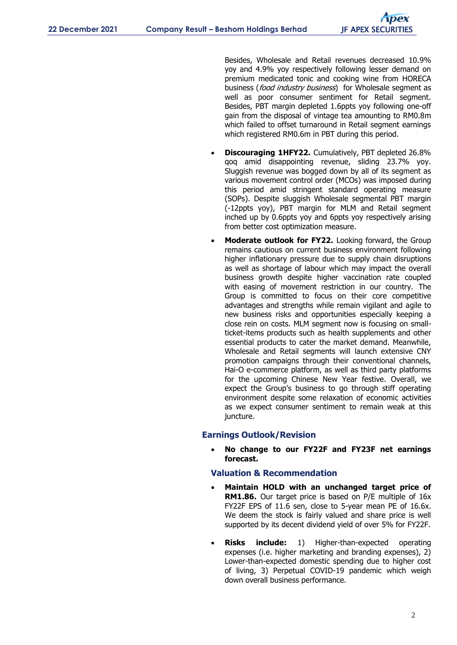Besides, Wholesale and Retail revenues decreased 10.9% yoy and 4.9% yoy respectively following lesser demand on premium medicated tonic and cooking wine from HORECA business (food industry business) for Wholesale segment as well as poor consumer sentiment for Retail segment. Besides, PBT margin depleted 1.6ppts yoy following one-off gain from the disposal of vintage tea amounting to RM0.8m which failed to offset turnaround in Retail segment earnings which registered RM0.6m in PBT during this period.

- **Discouraging 1HFY22.** Cumulatively, PBT depleted 26.8% qoq amid disappointing revenue, sliding 23.7% yoy. Sluggish revenue was bogged down by all of its segment as various movement control order (MCOs) was imposed during this period amid stringent standard operating measure (SOPs). Despite sluggish Wholesale segmental PBT margin (-12ppts yoy), PBT margin for MLM and Retail segment inched up by 0.6ppts yoy and 6ppts yoy respectively arising from better cost optimization measure.
- **Moderate outlook for FY22.** Looking forward, the Group remains cautious on current business environment following higher inflationary pressure due to supply chain disruptions as well as shortage of labour which may impact the overall business growth despite higher vaccination rate coupled with easing of movement restriction in our country. The Group is committed to focus on their core competitive advantages and strengths while remain vigilant and agile to new business risks and opportunities especially keeping a close rein on costs. MLM segment now is focusing on smallticket-items products such as health supplements and other essential products to cater the market demand. Meanwhile, Wholesale and Retail segments will launch extensive CNY promotion campaigns through their conventional channels, Hai-O e-commerce platform, as well as third party platforms for the upcoming Chinese New Year festive. Overall, we expect the Group's business to go through stiff operating environment despite some relaxation of economic activities as we expect consumer sentiment to remain weak at this juncture.

## **Earnings Outlook/Revision**

 **No change to our FY22F and FY23F net earnings forecast.**

## **Valuation & Recommendation**

- **Maintain HOLD with an unchanged target price of RM1.86.** Our target price is based on P/E multiple of 16x FY22F EPS of 11.6 sen, close to 5-year mean PE of 16.6x. We deem the stock is fairly valued and share price is well supported by its decent dividend yield of over 5% for FY22F.
- **Risks include:** 1) Higher-than-expected operating expenses (i.e. higher marketing and branding expenses), 2) Lower-than-expected domestic spending due to higher cost of living, 3) Perpetual COVID-19 pandemic which weigh down overall business performance.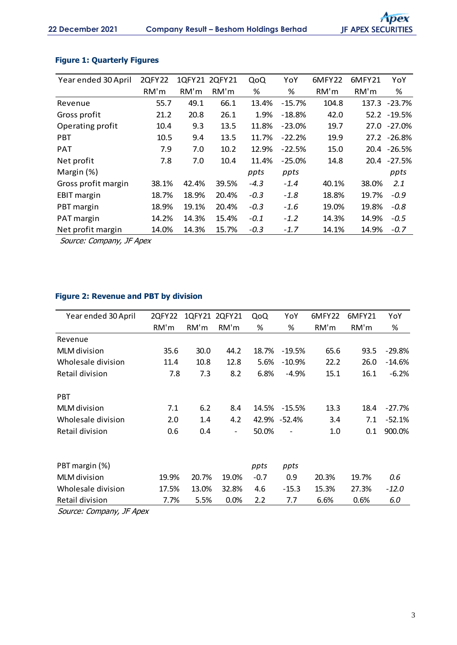| Year ended 30 April | 2QFY22 |       | 1QFY21 2QFY21 | QoQ    | YoY      | 6MFY22 | 6MFY21 | YoY           |
|---------------------|--------|-------|---------------|--------|----------|--------|--------|---------------|
|                     | RM'm   | RM'm  | RM'm          | %      | ℅        | RM'm   | RM'm   | %             |
| Revenue             | 55.7   | 49.1  | 66.1          | 13.4%  | $-15.7%$ | 104.8  |        | 137.3 - 23.7% |
| Gross profit        | 21.2   | 20.8  | 26.1          | 1.9%   | $-18.8%$ | 42.0   |        | 52.2 - 19.5%  |
| Operating profit    | 10.4   | 9.3   | 13.5          | 11.8%  | $-23.0%$ | 19.7   |        | 27.0 - 27.0%  |
| <b>PBT</b>          | 10.5   | 9.4   | 13.5          | 11.7%  | $-22.2%$ | 19.9   |        | 27.2 - 26.8%  |
| <b>PAT</b>          | 7.9    | 7.0   | 10.2          | 12.9%  | $-22.5%$ | 15.0   |        | 20.4 - 26.5%  |
| Net profit          | 7.8    | 7.0   | 10.4          | 11.4%  | $-25.0%$ | 14.8   |        | 20.4 - 27.5%  |
| Margin (%)          |        |       |               | ppts   | ppts     |        |        | ppts          |
| Gross profit margin | 38.1%  | 42.4% | 39.5%         | $-4.3$ | $-1.4$   | 40.1%  | 38.0%  | 2.1           |
| <b>EBIT</b> margin  | 18.7%  | 18.9% | 20.4%         | $-0.3$ | $-1.8$   | 18.8%  | 19.7%  | $-0.9$        |
| PBT margin          | 18.9%  | 19.1% | 20.4%         | $-0.3$ | $-1.6$   | 19.0%  | 19.8%  | $-0.8$        |
| PAT margin          | 14.2%  | 14.3% | 15.4%         | $-0.1$ | $-1.2$   | 14.3%  | 14.9%  | $-0.5$        |
| Net profit margin   | 14.0%  | 14.3% | 15.7%         | $-0.3$ | $-1.7$   | 14.1%  | 14.9%  | $-0.7$        |

## **Figure 1: Quarterly Figures**

Source: Company, JF Apex

## **Figure 2: Revenue and PBT by division**

| Year ended 30 April | <b>2QFY22</b> | 1QFY21 | 2QFY21 | QoQ    | YoY                      | 6MFY22 | 6MFY21 | YoY      |
|---------------------|---------------|--------|--------|--------|--------------------------|--------|--------|----------|
|                     | RM'm          | RM'm   | RM'm   | %      | %                        | RM'm   | RM'm   | %        |
| Revenue             |               |        |        |        |                          |        |        |          |
| MLM division        | 35.6          | 30.0   | 44.2   | 18.7%  | $-19.5%$                 | 65.6   | 93.5   | $-29.8%$ |
| Wholesale division  | 11.4          | 10.8   | 12.8   | 5.6%   | $-10.9%$                 | 22.2   | 26.0   | $-14.6%$ |
| Retail division     | 7.8           | 7.3    | 8.2    | 6.8%   | $-4.9%$                  | 15.1   | 16.1   | $-6.2%$  |
| <b>PBT</b>          |               |        |        |        |                          |        |        |          |
| MLM division        | 7.1           | 6.2    | 8.4    | 14.5%  | $-15.5%$                 | 13.3   | 18.4   | $-27.7%$ |
| Wholesale division  | 2.0           | 1.4    | 4.2    |        | 42.9% -52.4%             | 3.4    | 7.1    | $-52.1%$ |
| Retail division     | 0.6           | 0.4    | -      | 50.0%  | $\overline{\phantom{a}}$ | 1.0    | 0.1    | 900.0%   |
| PBT margin (%)      |               |        |        | ppts   | ppts                     |        |        |          |
| MLM division        | 19.9%         | 20.7%  | 19.0%  | $-0.7$ | 0.9                      | 20.3%  | 19.7%  | 0.6      |
| Wholesale division  | 17.5%         | 13.0%  | 32.8%  | 4.6    | $-15.3$                  | 15.3%  | 27.3%  | $-12.0$  |
| Retail division     | 7.7%          | 5.5%   | 0.0%   | 2.2    | 7.7                      | 6.6%   | 0.6%   | 6.0      |

Source: Company, JF Apex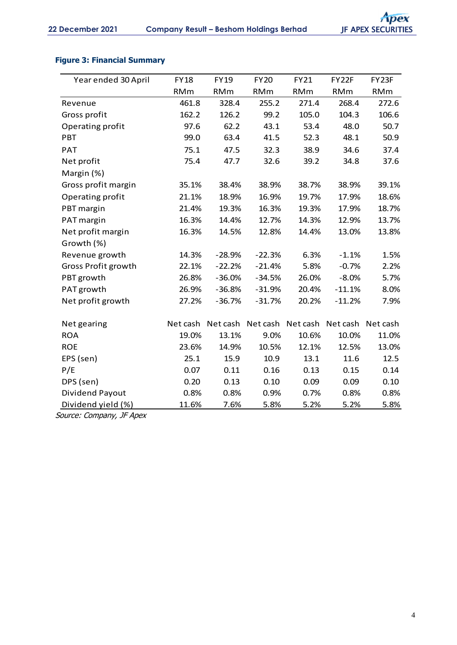## **Figure 3: Financial Summary**

| <b>FY18</b> | <b>FY19</b> | <b>FY20</b> | <b>FY21</b>       | FY22F      | FY23F                         |
|-------------|-------------|-------------|-------------------|------------|-------------------------------|
| <b>RMm</b>  | <b>RMm</b>  | <b>RMm</b>  | <b>RMm</b>        | <b>RMm</b> | <b>RMm</b>                    |
| 461.8       | 328.4       | 255.2       | 271.4             | 268.4      | 272.6                         |
| 162.2       | 126.2       | 99.2        | 105.0             | 104.3      | 106.6                         |
| 97.6        | 62.2        | 43.1        | 53.4              | 48.0       | 50.7                          |
| 99.0        | 63.4        | 41.5        | 52.3              | 48.1       | 50.9                          |
| 75.1        | 47.5        | 32.3        | 38.9              | 34.6       | 37.4                          |
| 75.4        | 47.7        | 32.6        | 39.2              | 34.8       | 37.6                          |
|             |             |             |                   |            |                               |
| 35.1%       | 38.4%       | 38.9%       | 38.7%             | 38.9%      | 39.1%                         |
| 21.1%       | 18.9%       | 16.9%       | 19.7%             | 17.9%      | 18.6%                         |
| 21.4%       | 19.3%       | 16.3%       | 19.3%             | 17.9%      | 18.7%                         |
| 16.3%       | 14.4%       | 12.7%       | 14.3%             | 12.9%      | 13.7%                         |
| 16.3%       | 14.5%       | 12.8%       | 14.4%             | 13.0%      | 13.8%                         |
|             |             |             |                   |            |                               |
| 14.3%       | $-28.9%$    | $-22.3%$    | 6.3%              | $-1.1%$    | 1.5%                          |
| 22.1%       | $-22.2%$    | $-21.4%$    | 5.8%              | $-0.7%$    | 2.2%                          |
| 26.8%       | $-36.0%$    | $-34.5%$    | 26.0%             | $-8.0%$    | 5.7%                          |
| 26.9%       | $-36.8%$    | $-31.9%$    | 20.4%             | $-11.1%$   | 8.0%                          |
| 27.2%       | $-36.7%$    | $-31.7%$    | 20.2%             | $-11.2%$   | 7.9%                          |
|             |             |             |                   |            |                               |
| Net cash    |             |             |                   |            |                               |
| 19.0%       | 13.1%       | 9.0%        | 10.6%             | 10.0%      | 11.0%                         |
| 23.6%       | 14.9%       | 10.5%       | 12.1%             | 12.5%      | 13.0%                         |
| 25.1        | 15.9        | 10.9        | 13.1              | 11.6       | 12.5                          |
| 0.07        | 0.11        | 0.16        | 0.13              | 0.15       | 0.14                          |
| 0.20        | 0.13        | 0.10        | 0.09              | 0.09       | 0.10                          |
| 0.8%        | 0.8%        | 0.9%        | 0.7%              | 0.8%       | 0.8%                          |
| 11.6%       | 7.6%        | 5.8%        | 5.2%              | 5.2%       | 5.8%                          |
|             |             |             | Net cash Net cash |            | Net cash<br>Net cash Net cash |

Source: Company, JF Apex